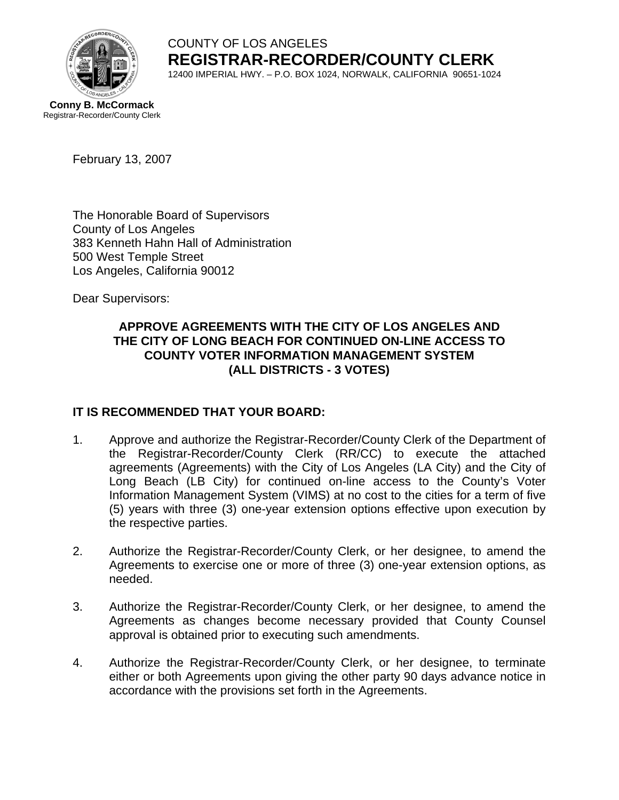

COUNTY OF LOS ANGELES **REGISTRAR-RECORDER/COUNTY CLERK** 12400 IMPERIAL HWY. – P.O. BOX 1024, NORWALK, CALIFORNIA 90651-1024

**Conny B. McCormack** Registrar-Recorder/County Clerk

February 13, 2007

The Honorable Board of Supervisors County of Los Angeles 383 Kenneth Hahn Hall of Administration 500 West Temple Street Los Angeles, California 90012

Dear Supervisors:

## **APPROVE AGREEMENTS WITH THE CITY OF LOS ANGELES AND THE CITY OF LONG BEACH FOR CONTINUED ON-LINE ACCESS TO COUNTY VOTER INFORMATION MANAGEMENT SYSTEM (ALL DISTRICTS - 3 VOTES)**

## **IT IS RECOMMENDED THAT YOUR BOARD:**

- 1. Approve and authorize the Registrar-Recorder/County Clerk of the Department of the Registrar-Recorder/County Clerk (RR/CC) to execute the attached agreements (Agreements) with the City of Los Angeles (LA City) and the City of Long Beach (LB City) for continued on-line access to the County's Voter Information Management System (VIMS) at no cost to the cities for a term of five (5) years with three (3) one-year extension options effective upon execution by the respective parties.
- 2. Authorize the Registrar-Recorder/County Clerk, or her designee, to amend the Agreements to exercise one or more of three (3) one-year extension options, as needed.
- 3. Authorize the Registrar-Recorder/County Clerk, or her designee, to amend the Agreements as changes become necessary provided that County Counsel approval is obtained prior to executing such amendments.
- 4. Authorize the Registrar-Recorder/County Clerk, or her designee, to terminate either or both Agreements upon giving the other party 90 days advance notice in accordance with the provisions set forth in the Agreements.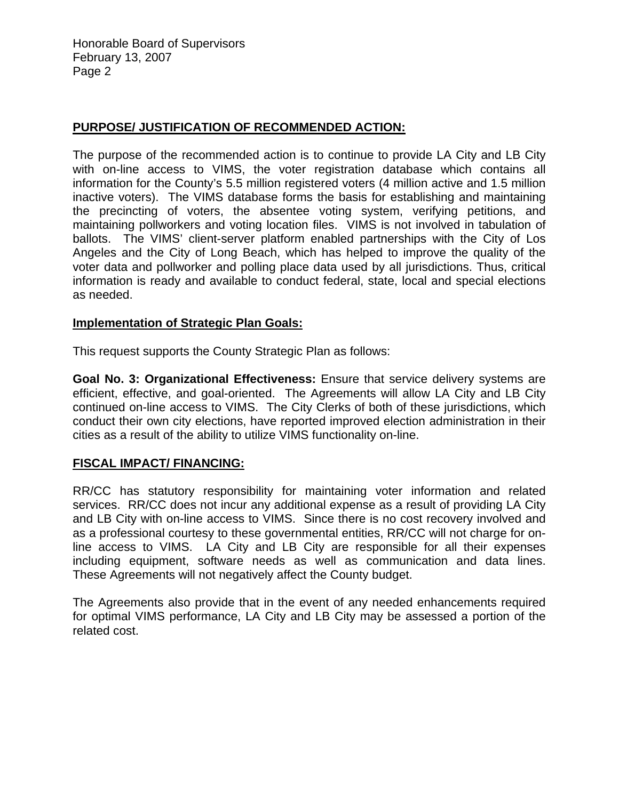Honorable Board of Supervisors February 13, 2007 Page 2

#### **PURPOSE/ JUSTIFICATION OF RECOMMENDED ACTION:**

The purpose of the recommended action is to continue to provide LA City and LB City with on-line access to VIMS, the voter registration database which contains all information for the County's 5.5 million registered voters (4 million active and 1.5 million inactive voters). The VIMS database forms the basis for establishing and maintaining the precincting of voters, the absentee voting system, verifying petitions, and maintaining pollworkers and voting location files. VIMS is not involved in tabulation of ballots. The VIMS' client-server platform enabled partnerships with the City of Los Angeles and the City of Long Beach, which has helped to improve the quality of the voter data and pollworker and polling place data used by all jurisdictions. Thus, critical information is ready and available to conduct federal, state, local and special elections as needed.

#### **Implementation of Strategic Plan Goals:**

This request supports the County Strategic Plan as follows:

**Goal No. 3: Organizational Effectiveness:** Ensure that service delivery systems are efficient, effective, and goal-oriented. The Agreements will allow LA City and LB City continued on-line access to VIMS. The City Clerks of both of these jurisdictions, which conduct their own city elections, have reported improved election administration in their cities as a result of the ability to utilize VIMS functionality on-line.

#### **FISCAL IMPACT/ FINANCING:**

RR/CC has statutory responsibility for maintaining voter information and related services. RR/CC does not incur any additional expense as a result of providing LA City and LB City with on-line access to VIMS. Since there is no cost recovery involved and as a professional courtesy to these governmental entities, RR/CC will not charge for online access to VIMS. LA City and LB City are responsible for all their expenses including equipment, software needs as well as communication and data lines. These Agreements will not negatively affect the County budget.

The Agreements also provide that in the event of any needed enhancements required for optimal VIMS performance, LA City and LB City may be assessed a portion of the related cost.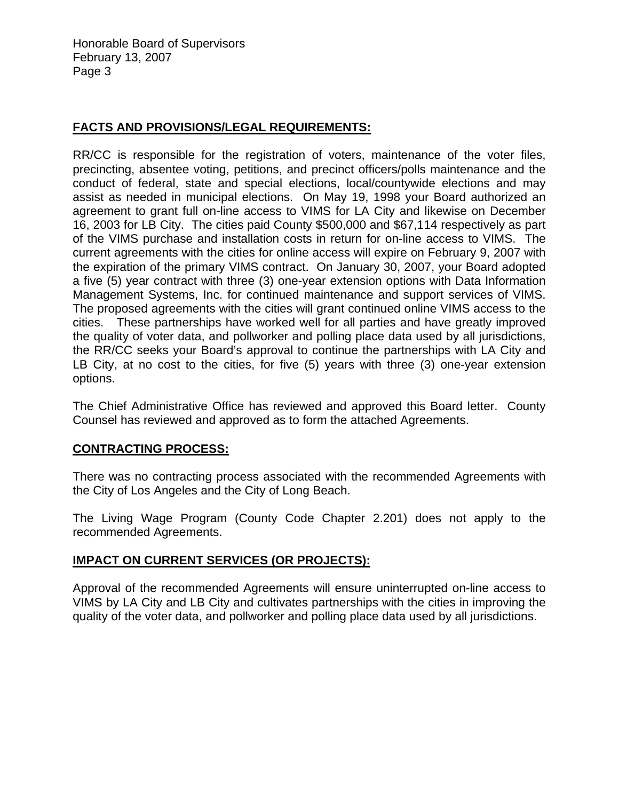Honorable Board of Supervisors February 13, 2007 Page 3

#### **FACTS AND PROVISIONS/LEGAL REQUIREMENTS:**

RR/CC is responsible for the registration of voters, maintenance of the voter files, precincting, absentee voting, petitions, and precinct officers/polls maintenance and the conduct of federal, state and special elections, local/countywide elections and may assist as needed in municipal elections. On May 19, 1998 your Board authorized an agreement to grant full on-line access to VIMS for LA City and likewise on December 16, 2003 for LB City. The cities paid County \$500,000 and \$67,114 respectively as part of the VIMS purchase and installation costs in return for on-line access to VIMS. The current agreements with the cities for online access will expire on February 9, 2007 with the expiration of the primary VIMS contract. On January 30, 2007, your Board adopted a five (5) year contract with three (3) one-year extension options with Data Information Management Systems, Inc. for continued maintenance and support services of VIMS. The proposed agreements with the cities will grant continued online VIMS access to the cities. These partnerships have worked well for all parties and have greatly improved the quality of voter data, and pollworker and polling place data used by all jurisdictions, the RR/CC seeks your Board's approval to continue the partnerships with LA City and LB City, at no cost to the cities, for five (5) years with three (3) one-year extension options.

The Chief Administrative Office has reviewed and approved this Board letter. County Counsel has reviewed and approved as to form the attached Agreements.

#### **CONTRACTING PROCESS:**

There was no contracting process associated with the recommended Agreements with the City of Los Angeles and the City of Long Beach.

The Living Wage Program (County Code Chapter 2.201) does not apply to the recommended Agreements.

#### **IMPACT ON CURRENT SERVICES (OR PROJECTS):**

Approval of the recommended Agreements will ensure uninterrupted on-line access to VIMS by LA City and LB City and cultivates partnerships with the cities in improving the quality of the voter data, and pollworker and polling place data used by all jurisdictions.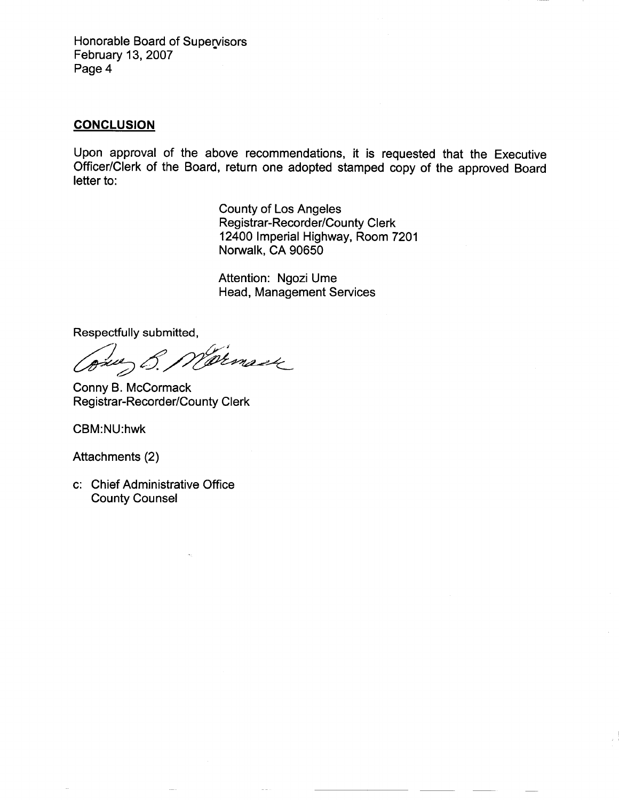Honorable Board of Supervisors February 13, 2007 Page 4

#### **CONCLUSION**

Upon approval of the above recommendations, it is requested that the Executive Officer/Clerk of the Board, return one adopted stamped copy of the approved Board letter to:

> **County of Los Angeles Registrar-Recorder/County Clerk** 12400 Imperial Highway, Room 7201 Norwalk, CA 90650

Attention: Ngozi Ume **Head, Management Services** 

Respectfully submitted,

Cemser ove, O.

Conny B. McCormack Registrar-Recorder/County Clerk

CBM:NU:hwk

Attachments (2)

c: Chief Administrative Office **County Counsel**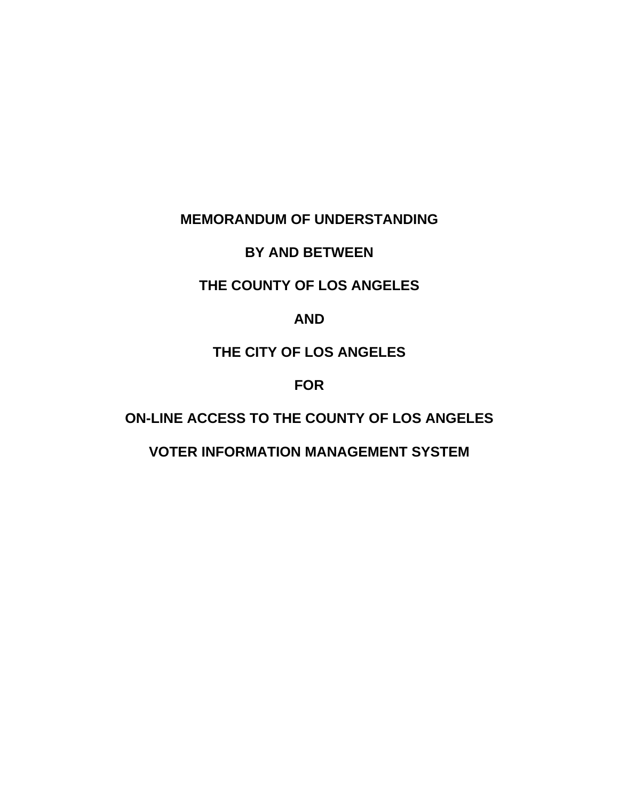# **MEMORANDUM OF UNDERSTANDING**

# **BY AND BETWEEN**

# **THE COUNTY OF LOS ANGELES**

## **AND**

# **THE CITY OF LOS ANGELES**

# **FOR**

# **ON-LINE ACCESS TO THE COUNTY OF LOS ANGELES**

# **VOTER INFORMATION MANAGEMENT SYSTEM**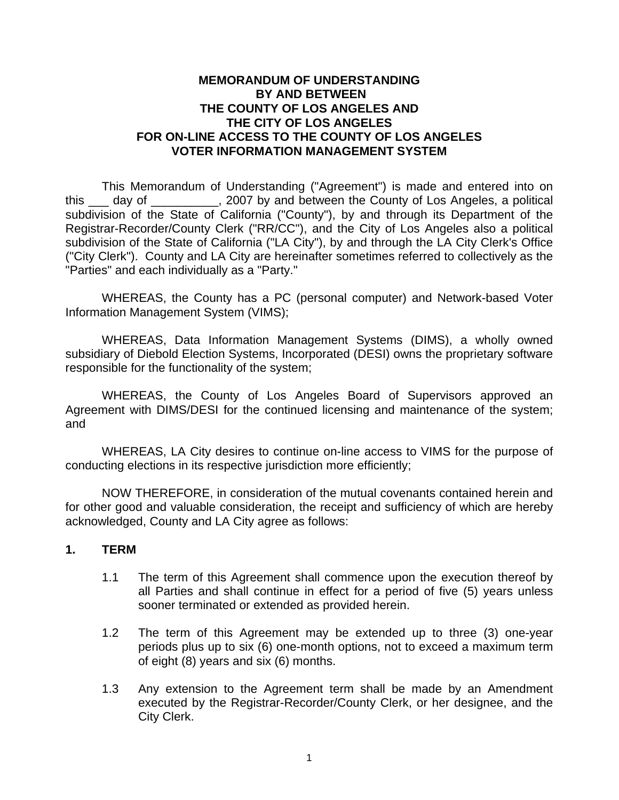#### **MEMORANDUM OF UNDERSTANDING BY AND BETWEEN THE COUNTY OF LOS ANGELES AND THE CITY OF LOS ANGELES FOR ON-LINE ACCESS TO THE COUNTY OF LOS ANGELES VOTER INFORMATION MANAGEMENT SYSTEM**

This Memorandum of Understanding ("Agreement") is made and entered into on this day of the same of the County of Los Angeles, a political subdivision of the State of California ("County"), by and through its Department of the Registrar-Recorder/County Clerk ("RR/CC"), and the City of Los Angeles also a political subdivision of the State of California ("LA City"), by and through the LA City Clerk's Office ("City Clerk"). County and LA City are hereinafter sometimes referred to collectively as the "Parties" and each individually as a "Party."

WHEREAS, the County has a PC (personal computer) and Network-based Voter Information Management System (VIMS);

WHEREAS, Data Information Management Systems (DIMS), a wholly owned subsidiary of Diebold Election Systems, Incorporated (DESI) owns the proprietary software responsible for the functionality of the system;

 WHEREAS, the County of Los Angeles Board of Supervisors approved an Agreement with DIMS/DESI for the continued licensing and maintenance of the system; and

 WHEREAS, LA City desires to continue on-line access to VIMS for the purpose of conducting elections in its respective jurisdiction more efficiently;

 NOW THEREFORE, in consideration of the mutual covenants contained herein and for other good and valuable consideration, the receipt and sufficiency of which are hereby acknowledged, County and LA City agree as follows:

#### **1. TERM**

- 1.1 The term of this Agreement shall commence upon the execution thereof by all Parties and shall continue in effect for a period of five (5) years unless sooner terminated or extended as provided herein.
- 1.2 The term of this Agreement may be extended up to three (3) one-year periods plus up to six (6) one-month options, not to exceed a maximum term of eight (8) years and six (6) months.
- 1.3 Any extension to the Agreement term shall be made by an Amendment executed by the Registrar-Recorder/County Clerk, or her designee, and the City Clerk.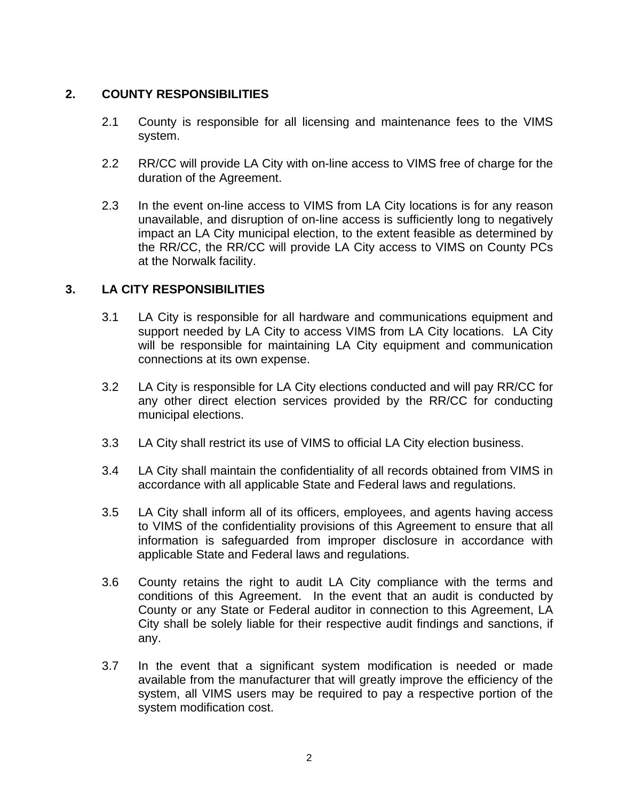## **2. COUNTY RESPONSIBILITIES**

- 2.1 County is responsible for all licensing and maintenance fees to the VIMS system.
- 2.2 RR/CC will provide LA City with on-line access to VIMS free of charge for the duration of the Agreement.
- 2.3 In the event on-line access to VIMS from LA City locations is for any reason unavailable, and disruption of on-line access is sufficiently long to negatively impact an LA City municipal election, to the extent feasible as determined by the RR/CC, the RR/CC will provide LA City access to VIMS on County PCs at the Norwalk facility.

## **3. LA CITY RESPONSIBILITIES**

- 3.1 LA City is responsible for all hardware and communications equipment and support needed by LA City to access VIMS from LA City locations. LA City will be responsible for maintaining LA City equipment and communication connections at its own expense.
- 3.2 LA City is responsible for LA City elections conducted and will pay RR/CC for any other direct election services provided by the RR/CC for conducting municipal elections.
- 3.3 LA City shall restrict its use of VIMS to official LA City election business.
- 3.4 LA City shall maintain the confidentiality of all records obtained from VIMS in accordance with all applicable State and Federal laws and regulations.
- 3.5 LA City shall inform all of its officers, employees, and agents having access to VIMS of the confidentiality provisions of this Agreement to ensure that all information is safeguarded from improper disclosure in accordance with applicable State and Federal laws and regulations.
- 3.6 County retains the right to audit LA City compliance with the terms and conditions of this Agreement. In the event that an audit is conducted by County or any State or Federal auditor in connection to this Agreement, LA City shall be solely liable for their respective audit findings and sanctions, if any.
- 3.7 In the event that a significant system modification is needed or made available from the manufacturer that will greatly improve the efficiency of the system, all VIMS users may be required to pay a respective portion of the system modification cost.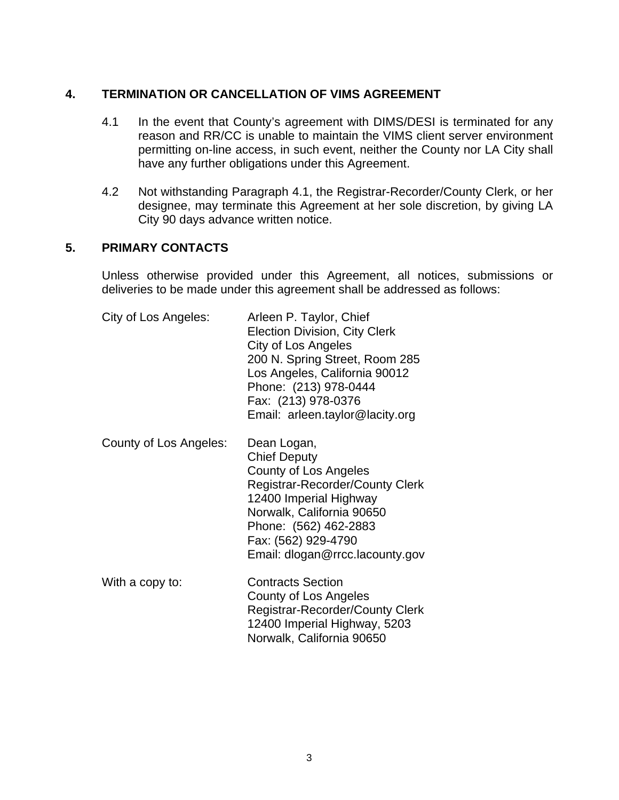### **4. TERMINATION OR CANCELLATION OF VIMS AGREEMENT**

- 4.1 In the event that County's agreement with DIMS/DESI is terminated for any reason and RR/CC is unable to maintain the VIMS client server environment permitting on-line access, in such event, neither the County nor LA City shall have any further obligations under this Agreement.
- 4.2 Not withstanding Paragraph 4.1, the Registrar-Recorder/County Clerk, or her designee, may terminate this Agreement at her sole discretion, by giving LA City 90 days advance written notice.

#### **5. PRIMARY CONTACTS**

Unless otherwise provided under this Agreement, all notices, submissions or deliveries to be made under this agreement shall be addressed as follows:

| City of Los Angeles:   | Arleen P. Taylor, Chief<br><b>Election Division, City Clerk</b><br>City of Los Angeles<br>200 N. Spring Street, Room 285<br>Los Angeles, California 90012<br>Phone: (213) 978-0444<br>Fax: (213) 978-0376<br>Email: arleen.taylor@lacity.org    |
|------------------------|-------------------------------------------------------------------------------------------------------------------------------------------------------------------------------------------------------------------------------------------------|
| County of Los Angeles: | Dean Logan,<br><b>Chief Deputy</b><br>County of Los Angeles<br><b>Registrar-Recorder/County Clerk</b><br>12400 Imperial Highway<br>Norwalk, California 90650<br>Phone: (562) 462-2883<br>Fax: (562) 929-4790<br>Email: dlogan@rrcc.lacounty.gov |
| With a copy to:        | <b>Contracts Section</b><br>County of Los Angeles<br><b>Registrar-Recorder/County Clerk</b><br>12400 Imperial Highway, 5203<br>Norwalk, California 90650                                                                                        |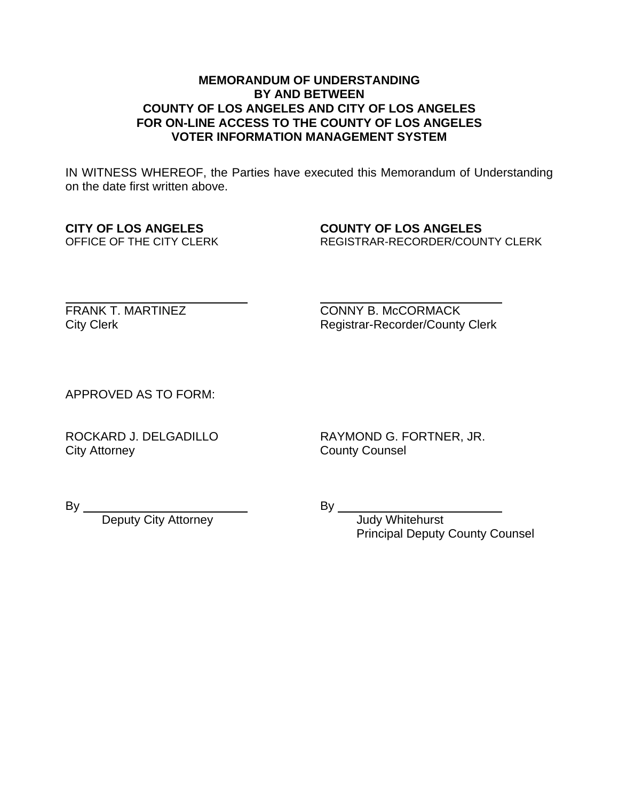#### **MEMORANDUM OF UNDERSTANDING BY AND BETWEEN COUNTY OF LOS ANGELES AND CITY OF LOS ANGELES FOR ON-LINE ACCESS TO THE COUNTY OF LOS ANGELES VOTER INFORMATION MANAGEMENT SYSTEM**

IN WITNESS WHEREOF, the Parties have executed this Memorandum of Understanding on the date first written above.

#### **CITY OF LOS ANGELES COUNTY OF LOS ANGELES**  REGISTRAR-RECORDER/COUNTY CLERK

FRANK T. MARTINEZ CONNY B. McCORMACK City Clerk **City Clerk** City Clerk **Registrar-Recorder/County Clerk** 

APPROVED AS TO FORM:

City Attorney **County County Counsel** 

ROCKARD J. DELGADILLO RAYMOND G. FORTNER, JR.

 $\overline{a}$ 

Deputy City Attorney **Communist Contract Contract Contract Contract Contract Contract Contract Contract Contract** 

By By

Principal Deputy County Counsel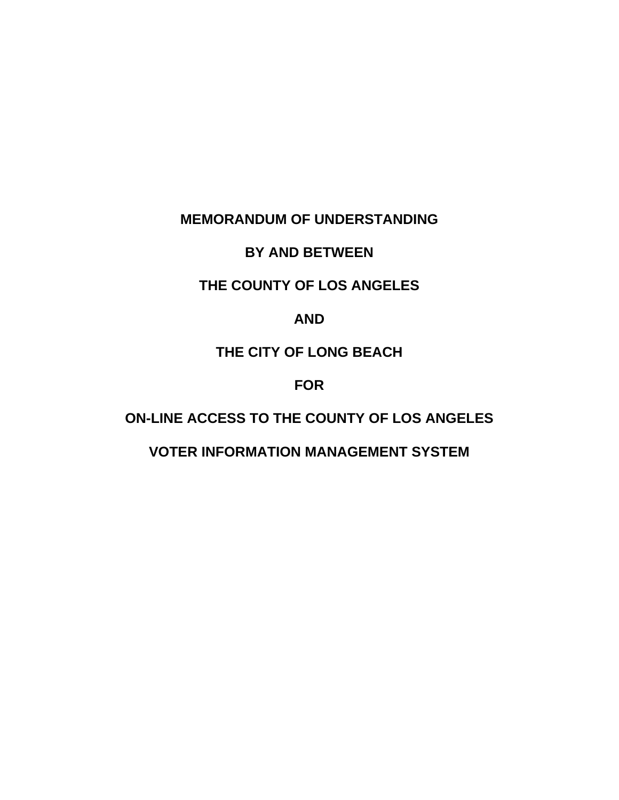# **MEMORANDUM OF UNDERSTANDING**

# **BY AND BETWEEN**

# **THE COUNTY OF LOS ANGELES**

## **AND**

# **THE CITY OF LONG BEACH**

# **FOR**

# **ON-LINE ACCESS TO THE COUNTY OF LOS ANGELES**

# **VOTER INFORMATION MANAGEMENT SYSTEM**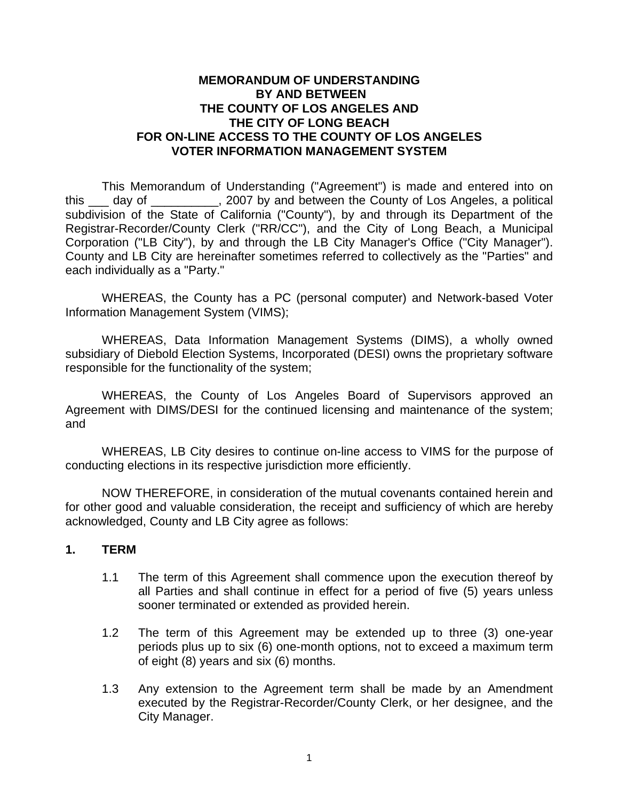#### **MEMORANDUM OF UNDERSTANDING BY AND BETWEEN THE COUNTY OF LOS ANGELES AND THE CITY OF LONG BEACH FOR ON-LINE ACCESS TO THE COUNTY OF LOS ANGELES VOTER INFORMATION MANAGEMENT SYSTEM**

This Memorandum of Understanding ("Agreement") is made and entered into on this day of the same of the County of Los Angeles, a political subdivision of the State of California ("County"), by and through its Department of the Registrar-Recorder/County Clerk ("RR/CC"), and the City of Long Beach, a Municipal Corporation ("LB City"), by and through the LB City Manager's Office ("City Manager"). County and LB City are hereinafter sometimes referred to collectively as the "Parties" and each individually as a "Party."

WHEREAS, the County has a PC (personal computer) and Network-based Voter Information Management System (VIMS);

WHEREAS, Data Information Management Systems (DIMS), a wholly owned subsidiary of Diebold Election Systems, Incorporated (DESI) owns the proprietary software responsible for the functionality of the system;

 WHEREAS, the County of Los Angeles Board of Supervisors approved an Agreement with DIMS/DESI for the continued licensing and maintenance of the system; and

 WHEREAS, LB City desires to continue on-line access to VIMS for the purpose of conducting elections in its respective jurisdiction more efficiently.

 NOW THEREFORE, in consideration of the mutual covenants contained herein and for other good and valuable consideration, the receipt and sufficiency of which are hereby acknowledged, County and LB City agree as follows:

#### **1. TERM**

- 1.1 The term of this Agreement shall commence upon the execution thereof by all Parties and shall continue in effect for a period of five (5) years unless sooner terminated or extended as provided herein.
- 1.2 The term of this Agreement may be extended up to three (3) one-year periods plus up to six (6) one-month options, not to exceed a maximum term of eight (8) years and six (6) months.
- 1.3 Any extension to the Agreement term shall be made by an Amendment executed by the Registrar-Recorder/County Clerk, or her designee, and the City Manager.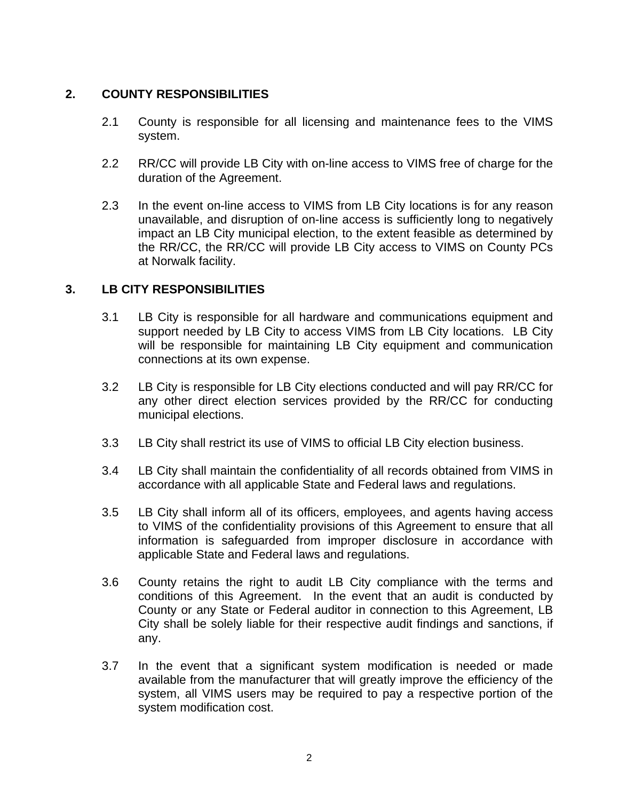## **2. COUNTY RESPONSIBILITIES**

- 2.1 County is responsible for all licensing and maintenance fees to the VIMS system.
- 2.2 RR/CC will provide LB City with on-line access to VIMS free of charge for the duration of the Agreement.
- 2.3 In the event on-line access to VIMS from LB City locations is for any reason unavailable, and disruption of on-line access is sufficiently long to negatively impact an LB City municipal election, to the extent feasible as determined by the RR/CC, the RR/CC will provide LB City access to VIMS on County PCs at Norwalk facility.

## **3. LB CITY RESPONSIBILITIES**

- 3.1 LB City is responsible for all hardware and communications equipment and support needed by LB City to access VIMS from LB City locations. LB City will be responsible for maintaining LB City equipment and communication connections at its own expense.
- 3.2 LB City is responsible for LB City elections conducted and will pay RR/CC for any other direct election services provided by the RR/CC for conducting municipal elections.
- 3.3 LB City shall restrict its use of VIMS to official LB City election business.
- 3.4 LB City shall maintain the confidentiality of all records obtained from VIMS in accordance with all applicable State and Federal laws and regulations.
- 3.5 LB City shall inform all of its officers, employees, and agents having access to VIMS of the confidentiality provisions of this Agreement to ensure that all information is safeguarded from improper disclosure in accordance with applicable State and Federal laws and regulations.
- 3.6 County retains the right to audit LB City compliance with the terms and conditions of this Agreement. In the event that an audit is conducted by County or any State or Federal auditor in connection to this Agreement, LB City shall be solely liable for their respective audit findings and sanctions, if any.
- 3.7 In the event that a significant system modification is needed or made available from the manufacturer that will greatly improve the efficiency of the system, all VIMS users may be required to pay a respective portion of the system modification cost.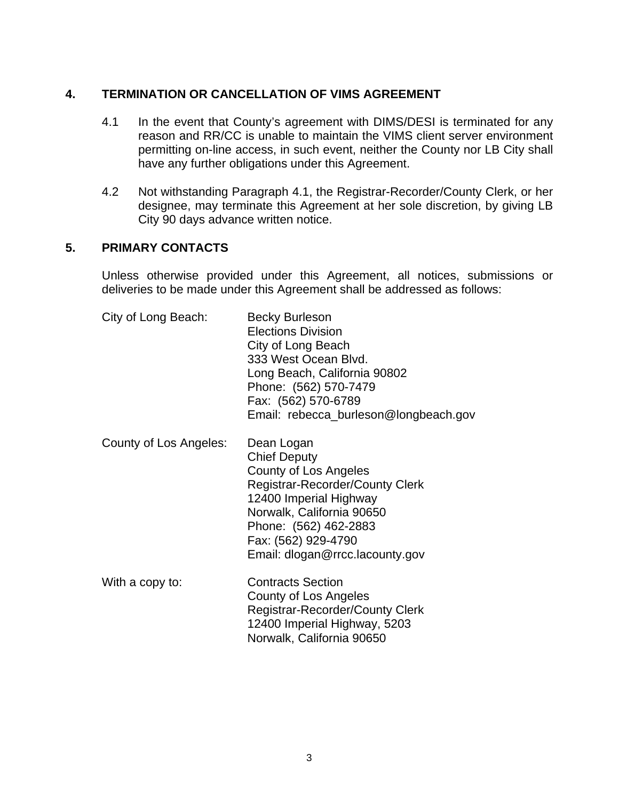### **4. TERMINATION OR CANCELLATION OF VIMS AGREEMENT**

- 4.1 In the event that County's agreement with DIMS/DESI is terminated for any reason and RR/CC is unable to maintain the VIMS client server environment permitting on-line access, in such event, neither the County nor LB City shall have any further obligations under this Agreement.
- 4.2 Not withstanding Paragraph 4.1, the Registrar-Recorder/County Clerk, or her designee, may terminate this Agreement at her sole discretion, by giving LB City 90 days advance written notice.

#### **5. PRIMARY CONTACTS**

Unless otherwise provided under this Agreement, all notices, submissions or deliveries to be made under this Agreement shall be addressed as follows:

| City of Long Beach:    | <b>Becky Burleson</b><br><b>Elections Division</b><br>City of Long Beach<br>333 West Ocean Blvd.<br>Long Beach, California 90802<br>Phone: (562) 570-7479<br>Fax: (562) 570-6789<br>Email: rebecca_burleson@longbeach.gov                      |
|------------------------|------------------------------------------------------------------------------------------------------------------------------------------------------------------------------------------------------------------------------------------------|
| County of Los Angeles: | Dean Logan<br><b>Chief Deputy</b><br>County of Los Angeles<br><b>Registrar-Recorder/County Clerk</b><br>12400 Imperial Highway<br>Norwalk, California 90650<br>Phone: (562) 462-2883<br>Fax: (562) 929-4790<br>Email: dlogan@rrcc.lacounty.gov |
| With a copy to:        | <b>Contracts Section</b><br>County of Los Angeles<br><b>Registrar-Recorder/County Clerk</b><br>12400 Imperial Highway, 5203<br>Norwalk, California 90650                                                                                       |